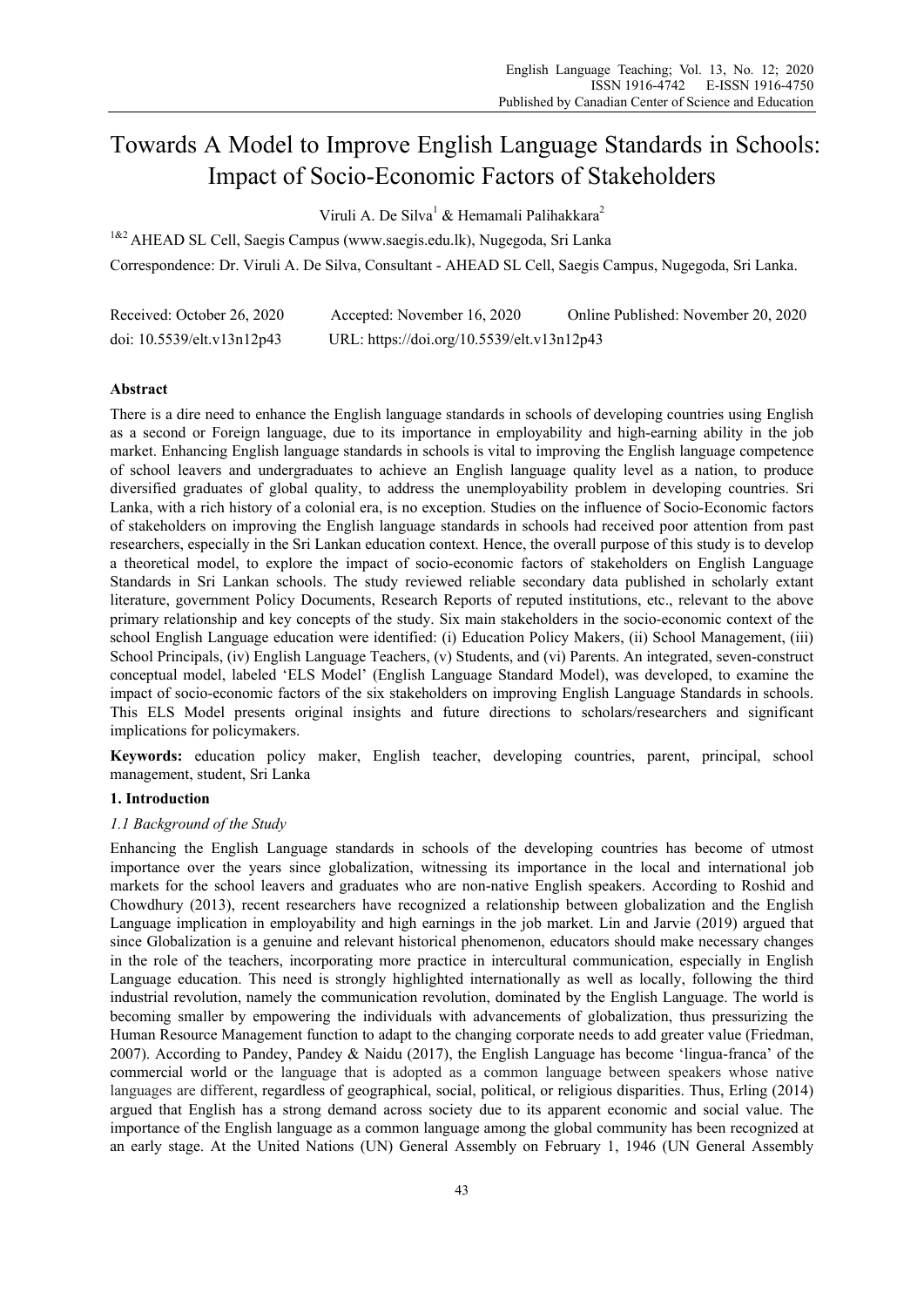# Towards A Model to Improve English Language Standards in Schools: Impact of Socio-Economic Factors of Stakeholders

Viruli A. De Silva<sup>1</sup> & Hemamali Palihakkara<sup>2</sup>

<sup>1&2</sup> AHEAD SL Cell, Saegis Campus (www.saegis.edu.lk), Nugegoda, Sri Lanka Correspondence: Dr. Viruli A. De Silva, Consultant - AHEAD SL Cell, Saegis Campus, Nugegoda, Sri Lanka.

| Received: October 26, 2020 | Accepted: November 16, 2020                | Online Published: November 20, 2020 |
|----------------------------|--------------------------------------------|-------------------------------------|
| doi: 10.5539/elt.v13n12p43 | URL: https://doi.org/10.5539/elt.v13n12p43 |                                     |

# **Abstract**

There is a dire need to enhance the English language standards in schools of developing countries using English as a second or Foreign language, due to its importance in employability and high-earning ability in the job market. Enhancing English language standards in schools is vital to improving the English language competence of school leavers and undergraduates to achieve an English language quality level as a nation, to produce diversified graduates of global quality, to address the unemployability problem in developing countries. Sri Lanka, with a rich history of a colonial era, is no exception. Studies on the influence of Socio-Economic factors of stakeholders on improving the English language standards in schools had received poor attention from past researchers, especially in the Sri Lankan education context. Hence, the overall purpose of this study is to develop a theoretical model, to explore the impact of socio-economic factors of stakeholders on English Language Standards in Sri Lankan schools. The study reviewed reliable secondary data published in scholarly extant literature, government Policy Documents, Research Reports of reputed institutions, etc., relevant to the above primary relationship and key concepts of the study. Six main stakeholders in the socio-economic context of the school English Language education were identified: (i) Education Policy Makers, (ii) School Management, (iii) School Principals, (iv) English Language Teachers, (v) Students, and (vi) Parents. An integrated, seven-construct conceptual model, labeled 'ELS Model' (English Language Standard Model), was developed, to examine the impact of socio-economic factors of the six stakeholders on improving English Language Standards in schools. This ELS Model presents original insights and future directions to scholars/researchers and significant implications for policymakers.

**Keywords:** education policy maker, English teacher, developing countries, parent, principal, school management, student, Sri Lanka

# **1. Introduction**

# *1.1 Background of the Study*

Enhancing the English Language standards in schools of the developing countries has become of utmost importance over the years since globalization, witnessing its importance in the local and international job markets for the school leavers and graduates who are non-native English speakers. According to Roshid and Chowdhury (2013), recent researchers have recognized a relationship between globalization and the English Language implication in employability and high earnings in the job market. Lin and Jarvie (2019) argued that since Globalization is a genuine and relevant historical phenomenon, educators should make necessary changes in the role of the teachers, incorporating more practice in intercultural communication, especially in English Language education. This need is strongly highlighted internationally as well as locally, following the third industrial revolution, namely the communication revolution, dominated by the English Language. The world is becoming smaller by empowering the individuals with advancements of globalization, thus pressurizing the Human Resource Management function to adapt to the changing corporate needs to add greater value (Friedman, 2007). According to Pandey, Pandey & Naidu (2017), the English Language has become 'lingua-franca' of the commercial world or the language that is adopted as a common language between speakers whose native languages are different, regardless of geographical, social, political, or religious disparities. Thus, Erling (2014) argued that English has a strong demand across society due to its apparent economic and social value. The importance of the English language as a common language among the global community has been recognized at an early stage. At the United Nations (UN) General Assembly on February 1, 1946 (UN General Assembly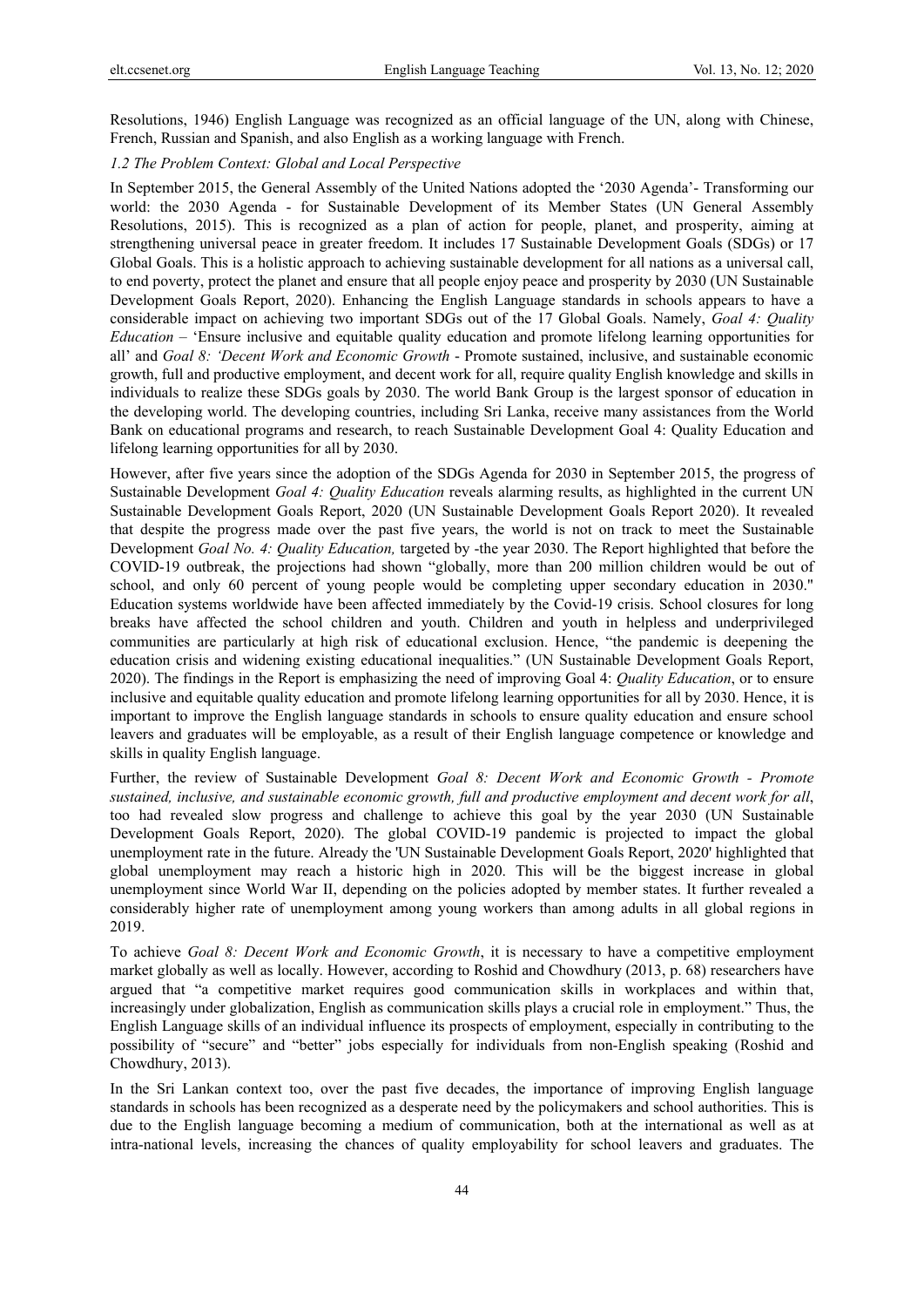Resolutions, 1946) English Language was recognized as an official language of the UN, along with Chinese, French, Russian and Spanish, and also English as a working language with French.

# *1.2 The Problem Context: Global and Local Perspective*

In September 2015, the General Assembly of the United Nations adopted the '2030 Agenda'- Transforming our world: the 2030 Agenda - for Sustainable Development of its Member States (UN General Assembly Resolutions, 2015). This is recognized as a plan of action for people, planet, and prosperity, aiming at strengthening universal peace in greater freedom. It includes 17 Sustainable Development Goals (SDGs) or 17 Global Goals. This is a holistic approach to achieving sustainable development for all nations as a universal call, to end poverty, protect the planet and ensure that all people enjoy peace and prosperity by 2030 (UN Sustainable Development Goals Report, 2020). Enhancing the English Language standards in schools appears to have a considerable impact on achieving two important SDGs out of the 17 Global Goals. Namely, *Goal 4: Quality Education* – 'Ensure inclusive and equitable quality education and promote lifelong learning opportunities for all' and *Goal 8: 'Decent Work and Economic Growth* - Promote sustained, inclusive, and sustainable economic growth, full and productive employment, and decent work for all, require quality English knowledge and skills in individuals to realize these SDGs goals by 2030. The world Bank Group is the largest sponsor of education in the developing world. The developing countries, including Sri Lanka, receive many assistances from the World Bank on educational programs and research, to reach Sustainable Development Goal 4: Quality Education and lifelong learning opportunities for all by 2030.

However, after five years since the adoption of the SDGs Agenda for 2030 in September 2015, the progress of Sustainable Development *Goal 4: Quality Education* reveals alarming results, as highlighted in the current UN Sustainable Development Goals Report, 2020 (UN Sustainable Development Goals Report 2020). It revealed that despite the progress made over the past five years, the world is not on track to meet the Sustainable Development *Goal No. 4: Quality Education,* targeted by -the year 2030. The Report highlighted that before the COVID-19 outbreak, the projections had shown "globally, more than 200 million children would be out of school, and only 60 percent of young people would be completing upper secondary education in 2030." Education systems worldwide have been affected immediately by the Covid-19 crisis. School closures for long breaks have affected the school children and youth. Children and youth in helpless and underprivileged communities are particularly at high risk of educational exclusion. Hence, "the pandemic is deepening the education crisis and widening existing educational inequalities." (UN Sustainable Development Goals Report, 2020). The findings in the Report is emphasizing the need of improving Goal 4: *Quality Education*, or to ensure inclusive and equitable quality education and promote lifelong learning opportunities for all by 2030. Hence, it is important to improve the English language standards in schools to ensure quality education and ensure school leavers and graduates will be employable, as a result of their English language competence or knowledge and skills in quality English language.

Further, the review of Sustainable Development *Goal 8: Decent Work and Economic Growth - Promote sustained, inclusive, and sustainable economic growth, full and productive employment and decent work for all*, too had revealed slow progress and challenge to achieve this goal by the year 2030 (UN Sustainable Development Goals Report, 2020). The global COVID-19 pandemic is projected to impact the global unemployment rate in the future. Already the 'UN Sustainable Development Goals Report, 2020' highlighted that global unemployment may reach a historic high in 2020. This will be the biggest increase in global unemployment since World War II, depending on the policies adopted by member states. It further revealed a considerably higher rate of unemployment among young workers than among adults in all global regions in 2019.

To achieve *Goal 8: Decent Work and Economic Growth*, it is necessary to have a competitive employment market globally as well as locally. However, according to Roshid and Chowdhury (2013, p. 68) researchers have argued that "a competitive market requires good communication skills in workplaces and within that, increasingly under globalization, English as communication skills plays a crucial role in employment." Thus, the English Language skills of an individual influence its prospects of employment, especially in contributing to the possibility of "secure" and "better" jobs especially for individuals from non-English speaking (Roshid and Chowdhury, 2013).

In the Sri Lankan context too, over the past five decades, the importance of improving English language standards in schools has been recognized as a desperate need by the policymakers and school authorities. This is due to the English language becoming a medium of communication, both at the international as well as at intra-national levels, increasing the chances of quality employability for school leavers and graduates. The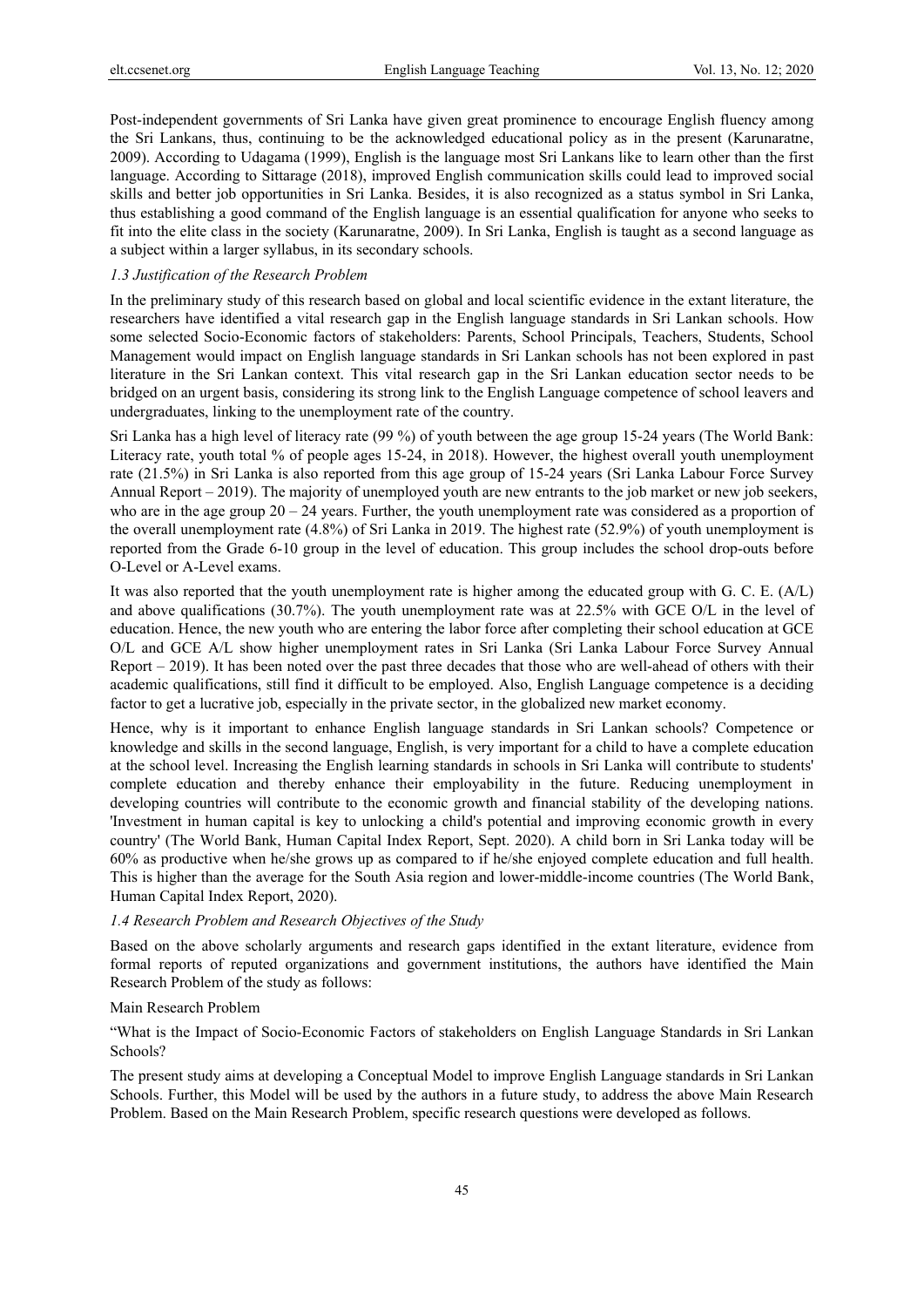Post-independent governments of Sri Lanka have given great prominence to encourage English fluency among the Sri Lankans, thus, continuing to be the acknowledged educational policy as in the present (Karunaratne, 2009). According to Udagama (1999), English is the language most Sri Lankans like to learn other than the first language. According to Sittarage (2018), improved English communication skills could lead to improved social skills and better job opportunities in Sri Lanka. Besides, it is also recognized as a status symbol in Sri Lanka, thus establishing a good command of the English language is an essential qualification for anyone who seeks to fit into the elite class in the society (Karunaratne, 2009). In Sri Lanka, English is taught as a second language as a subject within a larger syllabus, in its secondary schools.

#### *1.3 Justification of the Research Problem*

In the preliminary study of this research based on global and local scientific evidence in the extant literature, the researchers have identified a vital research gap in the English language standards in Sri Lankan schools. How some selected Socio-Economic factors of stakeholders: Parents, School Principals, Teachers, Students, School Management would impact on English language standards in Sri Lankan schools has not been explored in past literature in the Sri Lankan context. This vital research gap in the Sri Lankan education sector needs to be bridged on an urgent basis, considering its strong link to the English Language competence of school leavers and undergraduates, linking to the unemployment rate of the country.

Sri Lanka has a high level of literacy rate (99 %) of youth between the age group 15-24 years (The World Bank: Literacy rate, youth total % of people ages 15-24, in 2018). However, the highest overall youth unemployment rate (21.5%) in Sri Lanka is also reported from this age group of 15-24 years (Sri Lanka Labour Force Survey Annual Report – 2019). The majority of unemployed youth are new entrants to the job market or new job seekers, who are in the age group  $20 - 24$  years. Further, the youth unemployment rate was considered as a proportion of the overall unemployment rate (4.8%) of Sri Lanka in 2019. The highest rate (52.9%) of youth unemployment is reported from the Grade 6-10 group in the level of education. This group includes the school drop-outs before O-Level or A-Level exams.

It was also reported that the youth unemployment rate is higher among the educated group with G. C. E. (A/L) and above qualifications (30.7%). The youth unemployment rate was at 22.5% with GCE O/L in the level of education. Hence, the new youth who are entering the labor force after completing their school education at GCE O/L and GCE A/L show higher unemployment rates in Sri Lanka (Sri Lanka Labour Force Survey Annual Report – 2019). It has been noted over the past three decades that those who are well-ahead of others with their academic qualifications, still find it difficult to be employed. Also, English Language competence is a deciding factor to get a lucrative job, especially in the private sector, in the globalized new market economy.

Hence, why is it important to enhance English language standards in Sri Lankan schools? Competence or knowledge and skills in the second language, English, is very important for a child to have a complete education at the school level. Increasing the English learning standards in schools in Sri Lanka will contribute to students' complete education and thereby enhance their employability in the future. Reducing unemployment in developing countries will contribute to the economic growth and financial stability of the developing nations. 'Investment in human capital is key to unlocking a child's potential and improving economic growth in every country' (The World Bank, Human Capital Index Report, Sept. 2020). A child born in Sri Lanka today will be 60% as productive when he/she grows up as compared to if he/she enjoyed complete education and full health. This is higher than the average for the South Asia region and lower-middle-income countries (The World Bank, Human Capital Index Report, 2020).

#### *1.4 Research Problem and Research Objectives of the Study*

Based on the above scholarly arguments and research gaps identified in the extant literature, evidence from formal reports of reputed organizations and government institutions, the authors have identified the Main Research Problem of the study as follows:

## Main Research Problem

"What is the Impact of Socio-Economic Factors of stakeholders on English Language Standards in Sri Lankan Schools?

The present study aims at developing a Conceptual Model to improve English Language standards in Sri Lankan Schools. Further, this Model will be used by the authors in a future study, to address the above Main Research Problem. Based on the Main Research Problem, specific research questions were developed as follows.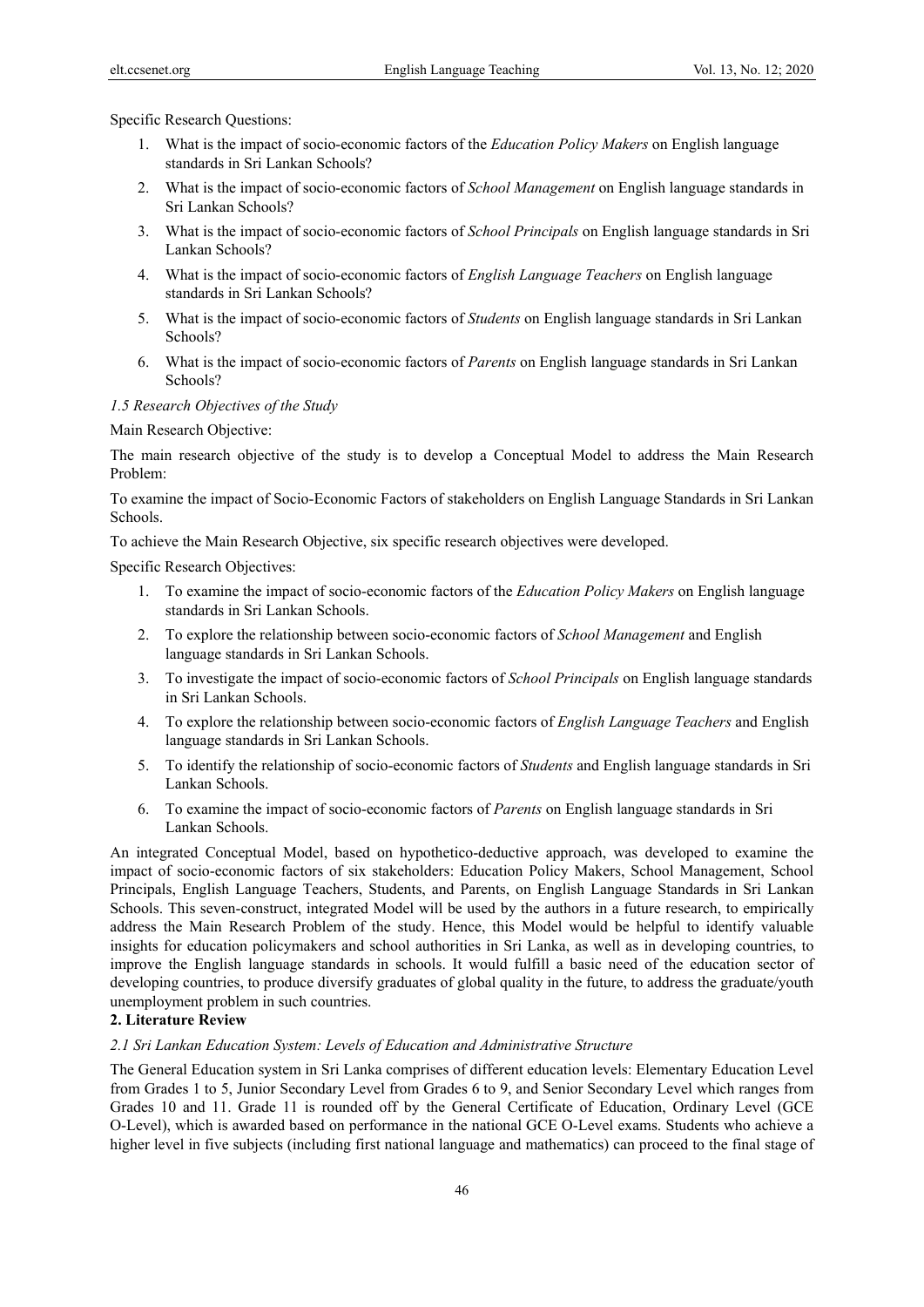Specific Research Questions:

- 1. What is the impact of socio-economic factors of the *Education Policy Makers* on English language standards in Sri Lankan Schools?
- 2. What is the impact of socio-economic factors of *School Management* on English language standards in Sri Lankan Schools?
- 3. What is the impact of socio-economic factors of *School Principals* on English language standards in Sri Lankan Schools?
- 4. What is the impact of socio-economic factors of *English Language Teachers* on English language standards in Sri Lankan Schools?
- 5. What is the impact of socio-economic factors of *Students* on English language standards in Sri Lankan Schools?
- 6. What is the impact of socio-economic factors of *Parents* on English language standards in Sri Lankan Schools?

## *1.5 Research Objectives of the Study*

Main Research Objective:

The main research objective of the study is to develop a Conceptual Model to address the Main Research Problem:

To examine the impact of Socio-Economic Factors of stakeholders on English Language Standards in Sri Lankan Schools.

To achieve the Main Research Objective, six specific research objectives were developed.

Specific Research Objectives:

- 1. To examine the impact of socio-economic factors of the *Education Policy Makers* on English language standards in Sri Lankan Schools.
- 2. To explore the relationship between socio-economic factors of *School Management* and English language standards in Sri Lankan Schools.
- 3. To investigate the impact of socio-economic factors of *School Principals* on English language standards in Sri Lankan Schools.
- 4. To explore the relationship between socio-economic factors of *English Language Teachers* and English language standards in Sri Lankan Schools.
- 5. To identify the relationship of socio-economic factors of *Students* and English language standards in Sri Lankan Schools.
- 6. To examine the impact of socio-economic factors of *Parents* on English language standards in Sri Lankan Schools.

An integrated Conceptual Model, based on hypothetico-deductive approach, was developed to examine the impact of socio-economic factors of six stakeholders: Education Policy Makers, School Management, School Principals, English Language Teachers, Students, and Parents, on English Language Standards in Sri Lankan Schools. This seven-construct, integrated Model will be used by the authors in a future research, to empirically address the Main Research Problem of the study. Hence, this Model would be helpful to identify valuable insights for education policymakers and school authorities in Sri Lanka, as well as in developing countries, to improve the English language standards in schools. It would fulfill a basic need of the education sector of developing countries, to produce diversify graduates of global quality in the future, to address the graduate/youth unemployment problem in such countries.

# **2. Literature Review**

# *2.1 Sri Lankan Education System: Levels of Education and Administrative Structure*

The General Education system in Sri Lanka comprises of different education levels: Elementary Education Level from Grades 1 to 5, Junior Secondary Level from Grades 6 to 9, and Senior Secondary Level which ranges from Grades 10 and 11. Grade 11 is rounded off by the General Certificate of Education, Ordinary Level (GCE O-Level), which is awarded based on performance in the national GCE O-Level exams. Students who achieve a higher level in five subjects (including first national language and mathematics) can proceed to the final stage of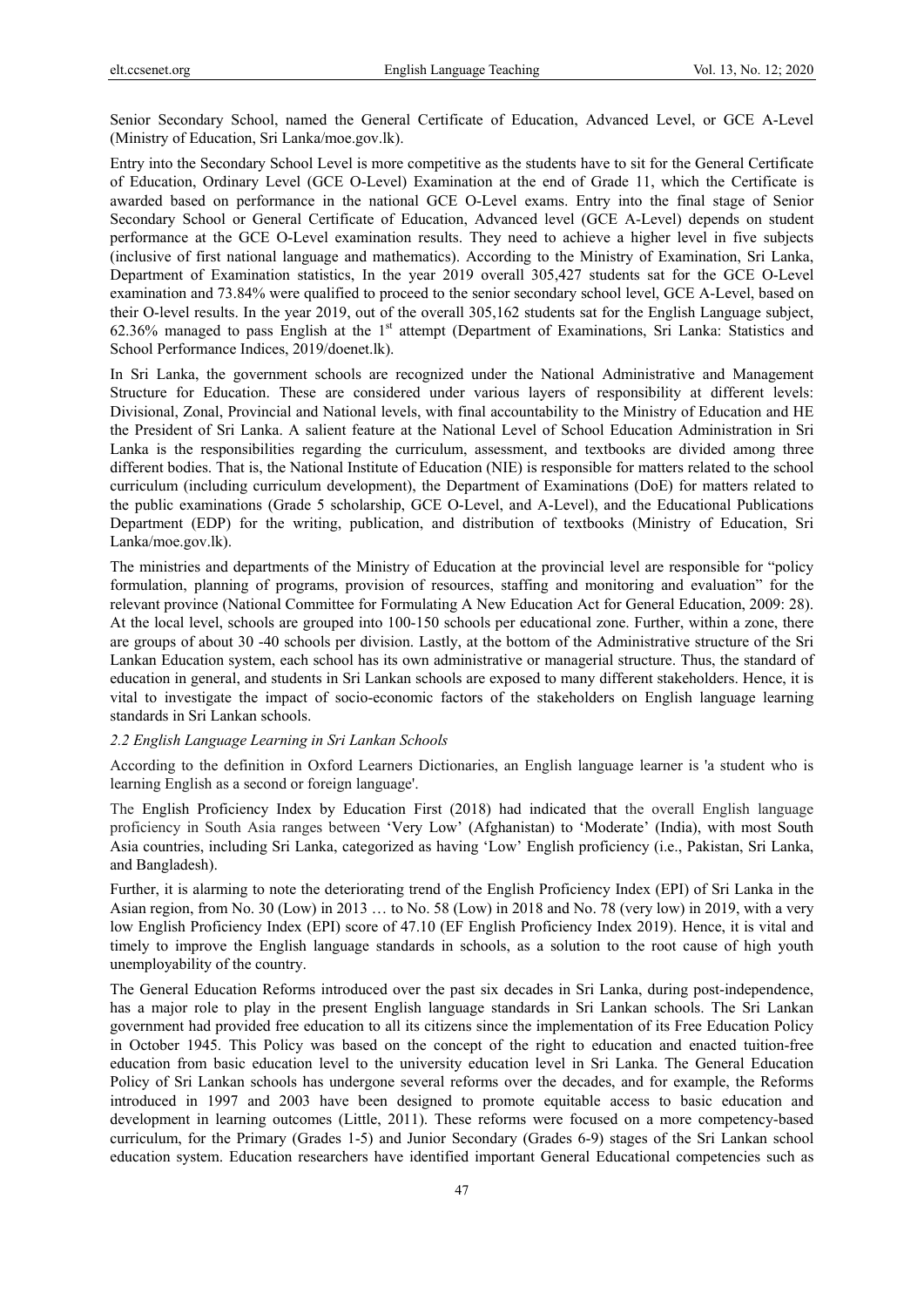Senior Secondary School, named the General Certificate of Education, Advanced Level, or GCE A-Level (Ministry of Education, Sri Lanka/moe.gov.lk).

Entry into the Secondary School Level is more competitive as the students have to sit for the General Certificate of Education, Ordinary Level (GCE O-Level) Examination at the end of Grade 11, which the Certificate is awarded based on performance in the national GCE O-Level exams. Entry into the final stage of Senior Secondary School or General Certificate of Education, Advanced level (GCE A-Level) depends on student performance at the GCE O-Level examination results. They need to achieve a higher level in five subjects (inclusive of first national language and mathematics). According to the Ministry of Examination, Sri Lanka, Department of Examination statistics, In the year 2019 overall 305,427 students sat for the GCE O-Level examination and 73.84% were qualified to proceed to the senior secondary school level, GCE A-Level, based on their O-level results. In the year 2019, out of the overall 305,162 students sat for the English Language subject, 62.36% managed to pass English at the 1<sup>st</sup> attempt (Department of Examinations, Sri Lanka: Statistics and School Performance Indices, 2019/doenet.lk).

In Sri Lanka, the government schools are recognized under the National Administrative and Management Structure for Education. These are considered under various layers of responsibility at different levels: Divisional, Zonal, Provincial and National levels, with final accountability to the Ministry of Education and HE the President of Sri Lanka. A salient feature at the National Level of School Education Administration in Sri Lanka is the responsibilities regarding the curriculum, assessment, and textbooks are divided among three different bodies. That is, the National Institute of Education (NIE) is responsible for matters related to the school curriculum (including curriculum development), the Department of Examinations (DoE) for matters related to the public examinations (Grade 5 scholarship, GCE O-Level, and A-Level), and the Educational Publications Department (EDP) for the writing, publication, and distribution of textbooks (Ministry of Education, Sri Lanka/moe.gov.lk).

The ministries and departments of the Ministry of Education at the provincial level are responsible for "policy formulation, planning of programs, provision of resources, staffing and monitoring and evaluation" for the relevant province (National Committee for Formulating A New Education Act for General Education, 2009: 28). At the local level, schools are grouped into 100-150 schools per educational zone. Further, within a zone, there are groups of about 30 -40 schools per division. Lastly, at the bottom of the Administrative structure of the Sri Lankan Education system, each school has its own administrative or managerial structure. Thus, the standard of education in general, and students in Sri Lankan schools are exposed to many different stakeholders. Hence, it is vital to investigate the impact of socio-economic factors of the stakeholders on English language learning standards in Sri Lankan schools.

# *2.2 English Language Learning in Sri Lankan Schools*

According to the definition in Oxford Learners Dictionaries, an English language learner is 'a student who is learning English as a second or foreign language'.

The English Proficiency Index by Education First (2018) had indicated that the overall English language proficiency in South Asia ranges between 'Very Low' (Afghanistan) to 'Moderate' (India), with most South Asia countries, including Sri Lanka, categorized as having 'Low' English proficiency (i.e., Pakistan, Sri Lanka, and Bangladesh).

Further, it is alarming to note the deteriorating trend of the English Proficiency Index (EPI) of Sri Lanka in the Asian region, from No. 30 (Low) in 2013 … to No. 58 (Low) in 2018 and No. 78 (very low) in 2019, with a very low English Proficiency Index (EPI) score of 47.10 (EF English Proficiency Index 2019). Hence, it is vital and timely to improve the English language standards in schools, as a solution to the root cause of high youth unemployability of the country.

The General Education Reforms introduced over the past six decades in Sri Lanka, during post-independence, has a major role to play in the present English language standards in Sri Lankan schools. The Sri Lankan government had provided free education to all its citizens since the implementation of its Free Education Policy in October 1945. This Policy was based on the concept of the right to education and enacted tuition-free education from basic education level to the university education level in Sri Lanka. The General Education Policy of Sri Lankan schools has undergone several reforms over the decades, and for example, the Reforms introduced in 1997 and 2003 have been designed to promote equitable access to basic education and development in learning outcomes (Little, 2011). These reforms were focused on a more competency-based curriculum, for the Primary (Grades 1-5) and Junior Secondary (Grades 6-9) stages of the Sri Lankan school education system. Education researchers have identified important General Educational competencies such as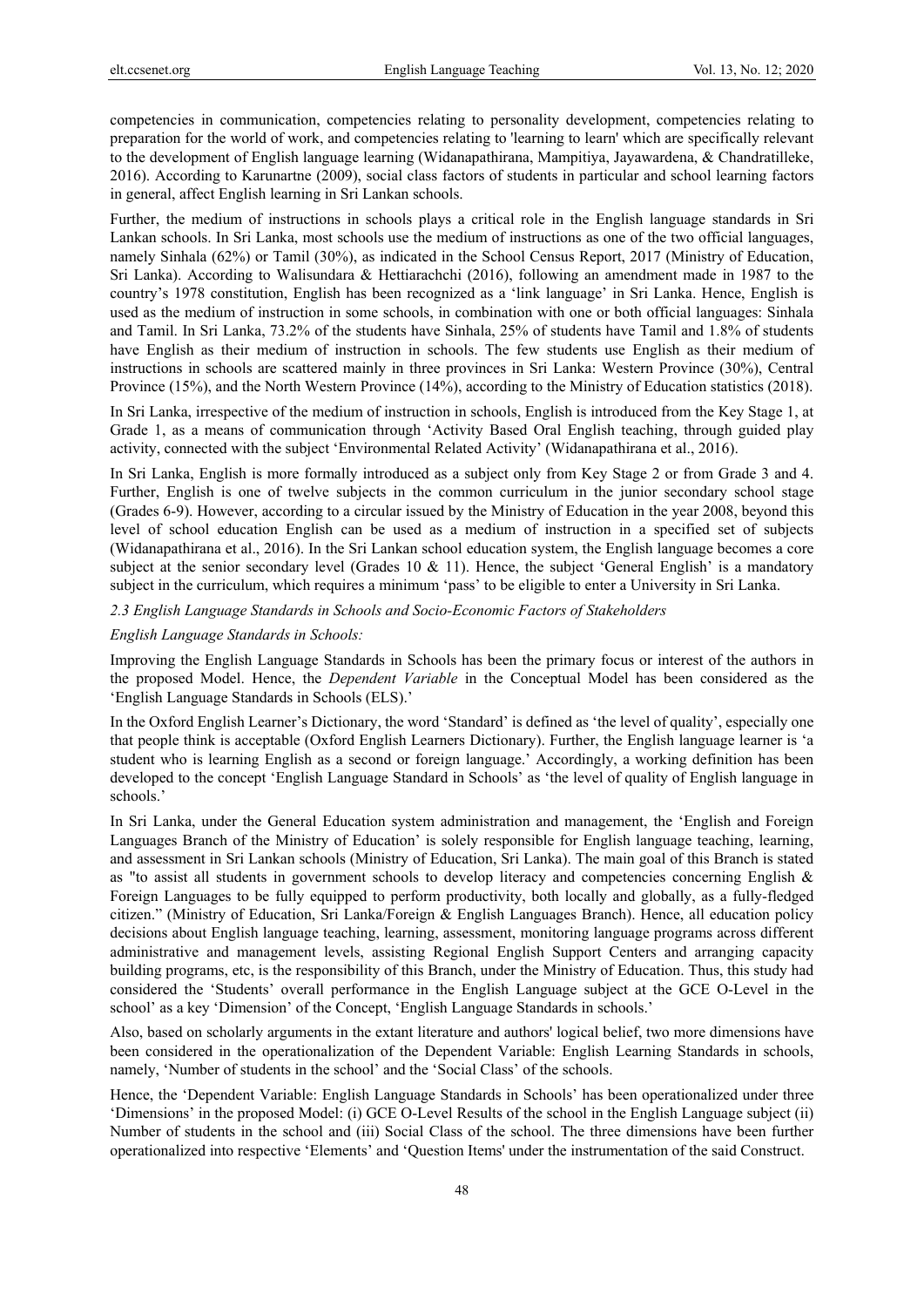competencies in communication, competencies relating to personality development, competencies relating to preparation for the world of work, and competencies relating to 'learning to learn' which are specifically relevant to the development of English language learning (Widanapathirana, Mampitiya, Jayawardena, & Chandratilleke, 2016). According to Karunartne (2009), social class factors of students in particular and school learning factors in general, affect English learning in Sri Lankan schools.

Further, the medium of instructions in schools plays a critical role in the English language standards in Sri Lankan schools. In Sri Lanka, most schools use the medium of instructions as one of the two official languages, namely Sinhala (62%) or Tamil (30%), as indicated in the School Census Report, 2017 (Ministry of Education, Sri Lanka). According to Walisundara & Hettiarachchi (2016), following an amendment made in 1987 to the country's 1978 constitution, English has been recognized as a 'link language' in Sri Lanka. Hence, English is used as the medium of instruction in some schools, in combination with one or both official languages: Sinhala and Tamil. In Sri Lanka, 73.2% of the students have Sinhala, 25% of students have Tamil and 1.8% of students have English as their medium of instruction in schools. The few students use English as their medium of instructions in schools are scattered mainly in three provinces in Sri Lanka: Western Province (30%), Central Province (15%), and the North Western Province (14%), according to the Ministry of Education statistics (2018).

In Sri Lanka, irrespective of the medium of instruction in schools, English is introduced from the Key Stage 1, at Grade 1, as a means of communication through 'Activity Based Oral English teaching, through guided play activity, connected with the subject 'Environmental Related Activity' (Widanapathirana et al., 2016).

In Sri Lanka, English is more formally introduced as a subject only from Key Stage 2 or from Grade 3 and 4. Further, English is one of twelve subjects in the common curriculum in the junior secondary school stage (Grades 6-9). However, according to a circular issued by the Ministry of Education in the year 2008, beyond this level of school education English can be used as a medium of instruction in a specified set of subjects (Widanapathirana et al., 2016). In the Sri Lankan school education system, the English language becomes a core subject at the senior secondary level (Grades 10  $\&$  11). Hence, the subject 'General English' is a mandatory subject in the curriculum, which requires a minimum 'pass' to be eligible to enter a University in Sri Lanka.

*2.3 English Language Standards in Schools and Socio-Economic Factors of Stakeholders* 

# *English Language Standards in Schools:*

Improving the English Language Standards in Schools has been the primary focus or interest of the authors in the proposed Model. Hence, the *Dependent Variable* in the Conceptual Model has been considered as the 'English Language Standards in Schools (ELS).'

In the Oxford English Learner's Dictionary, the word 'Standard' is defined as 'the level of quality', especially one that people think is acceptable (Oxford English Learners Dictionary). Further, the English language learner is 'a student who is learning English as a second or foreign language.' Accordingly, a working definition has been developed to the concept 'English Language Standard in Schools' as 'the level of quality of English language in schools.'

In Sri Lanka, under the General Education system administration and management, the 'English and Foreign Languages Branch of the Ministry of Education' is solely responsible for English language teaching, learning, and assessment in Sri Lankan schools (Ministry of Education, Sri Lanka). The main goal of this Branch is stated as "to assist all students in government schools to develop literacy and competencies concerning English & Foreign Languages to be fully equipped to perform productivity, both locally and globally, as a fully-fledged citizen." (Ministry of Education, Sri Lanka/Foreign & English Languages Branch). Hence, all education policy decisions about English language teaching, learning, assessment, monitoring language programs across different administrative and management levels, assisting Regional English Support Centers and arranging capacity building programs, etc, is the responsibility of this Branch, under the Ministry of Education. Thus, this study had considered the 'Students' overall performance in the English Language subject at the GCE O-Level in the school' as a key 'Dimension' of the Concept, 'English Language Standards in schools.'

Also, based on scholarly arguments in the extant literature and authors' logical belief, two more dimensions have been considered in the operationalization of the Dependent Variable: English Learning Standards in schools, namely, 'Number of students in the school' and the 'Social Class' of the schools.

Hence, the 'Dependent Variable: English Language Standards in Schools' has been operationalized under three 'Dimensions' in the proposed Model: (i) GCE O-Level Results of the school in the English Language subject (ii) Number of students in the school and (iii) Social Class of the school. The three dimensions have been further operationalized into respective 'Elements' and 'Question Items' under the instrumentation of the said Construct.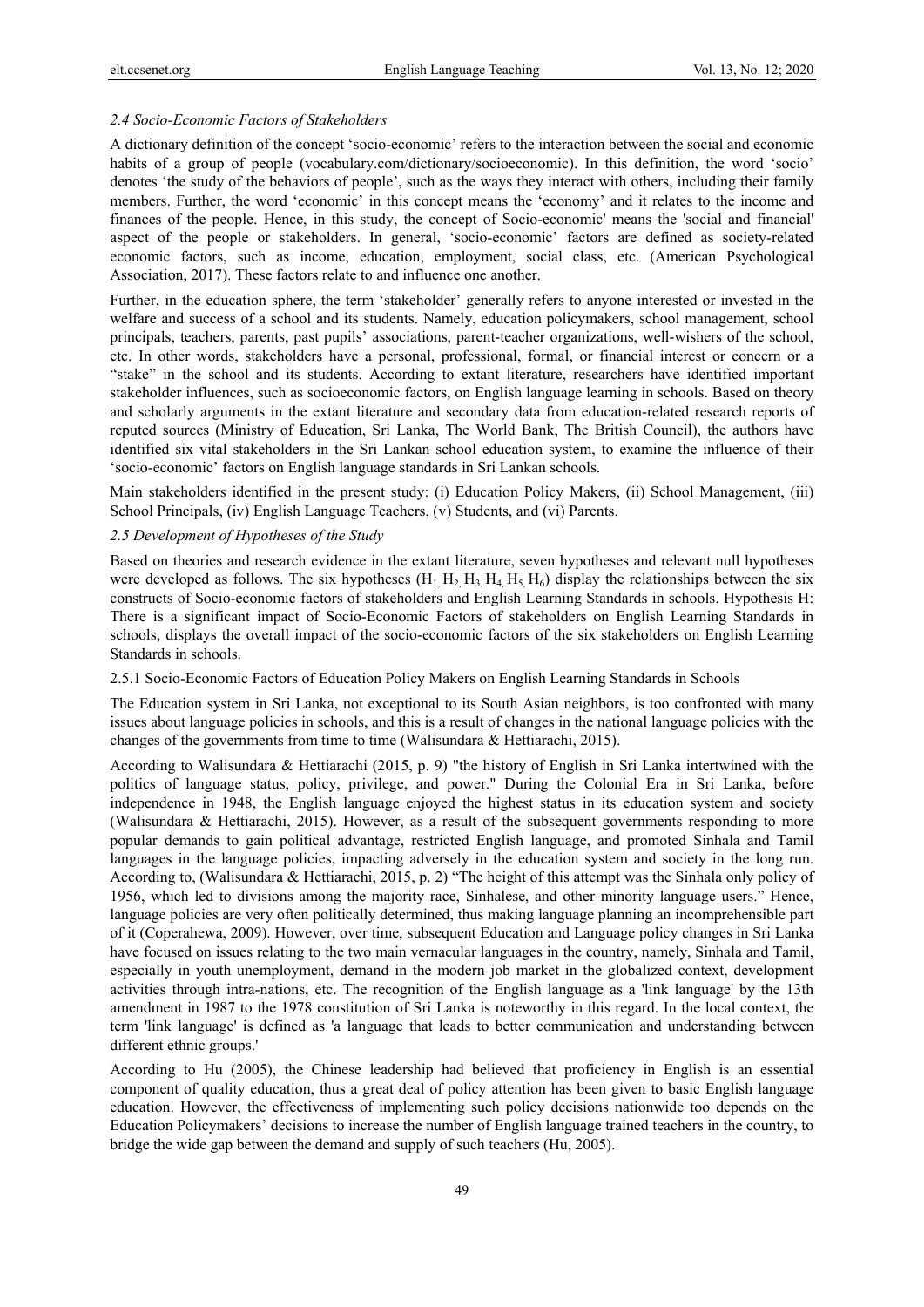#### *2.4 Socio-Economic Factors of Stakeholders*

A dictionary definition of the concept 'socio-economic' refers to the interaction between the social and economic habits of a group of people (vocabulary.com/dictionary/socioeconomic). In this definition, the word 'socio' denotes 'the study of the behaviors of people', such as the ways they interact with others, including their family members. Further, the word 'economic' in this concept means the 'economy' and it relates to the income and finances of the people. Hence, in this study, the concept of Socio-economic' means the 'social and financial' aspect of the people or stakeholders. In general, 'socio-economic' factors are defined as society-related economic factors, such as income, education, employment, social class, etc. (American Psychological Association, 2017). These factors relate to and influence one another.

Further, in the education sphere, the term 'stakeholder' generally refers to anyone interested or invested in the welfare and success of a school and its students. Namely, education policymakers, school management, school principals, teachers, parents, past pupils' associations, parent-teacher organizations, well-wishers of the school, etc. In other words, stakeholders have a personal, professional, formal, or financial interest or concern or a "stake" in the school and its students. According to extant literature, researchers have identified important stakeholder influences, such as socioeconomic factors, on English language learning in schools. Based on theory and scholarly arguments in the extant literature and secondary data from education-related research reports of reputed sources (Ministry of Education, Sri Lanka, The World Bank, The British Council), the authors have identified six vital stakeholders in the Sri Lankan school education system, to examine the influence of their 'socio-economic' factors on English language standards in Sri Lankan schools.

Main stakeholders identified in the present study: (i) Education Policy Makers, (ii) School Management, (iii) School Principals, (iv) English Language Teachers, (v) Students, and (vi) Parents.

# *2.5 Development of Hypotheses of the Study*

Based on theories and research evidence in the extant literature, seven hypotheses and relevant null hypotheses were developed as follows. The six hypotheses  $(H_1, H_2, H_3, H_4, H_5, H_6)$  display the relationships between the six constructs of Socio-economic factors of stakeholders and English Learning Standards in schools. Hypothesis H: There is a significant impact of Socio-Economic Factors of stakeholders on English Learning Standards in schools, displays the overall impact of the socio-economic factors of the six stakeholders on English Learning Standards in schools.

2.5.1 Socio-Economic Factors of Education Policy Makers on English Learning Standards in Schools

The Education system in Sri Lanka, not exceptional to its South Asian neighbors, is too confronted with many issues about language policies in schools, and this is a result of changes in the national language policies with the changes of the governments from time to time (Walisundara & Hettiarachi, 2015).

According to Walisundara & Hettiarachi (2015, p. 9) "the history of English in Sri Lanka intertwined with the politics of language status, policy, privilege, and power." During the Colonial Era in Sri Lanka, before independence in 1948, the English language enjoyed the highest status in its education system and society (Walisundara & Hettiarachi, 2015). However, as a result of the subsequent governments responding to more popular demands to gain political advantage, restricted English language, and promoted Sinhala and Tamil languages in the language policies, impacting adversely in the education system and society in the long run. According to, (Walisundara & Hettiarachi, 2015, p. 2) "The height of this attempt was the Sinhala only policy of 1956, which led to divisions among the majority race, Sinhalese, and other minority language users." Hence, language policies are very often politically determined, thus making language planning an incomprehensible part of it (Coperahewa, 2009). However, over time, subsequent Education and Language policy changes in Sri Lanka have focused on issues relating to the two main vernacular languages in the country, namely, Sinhala and Tamil, especially in youth unemployment, demand in the modern job market in the globalized context, development activities through intra-nations, etc. The recognition of the English language as a 'link language' by the 13th amendment in 1987 to the 1978 constitution of Sri Lanka is noteworthy in this regard. In the local context, the term 'link language' is defined as 'a language that leads to better communication and understanding between different ethnic groups.'

According to Hu (2005), the Chinese leadership had believed that proficiency in English is an essential component of quality education, thus a great deal of policy attention has been given to basic English language education. However, the effectiveness of implementing such policy decisions nationwide too depends on the Education Policymakers' decisions to increase the number of English language trained teachers in the country, to bridge the wide gap between the demand and supply of such teachers (Hu, 2005).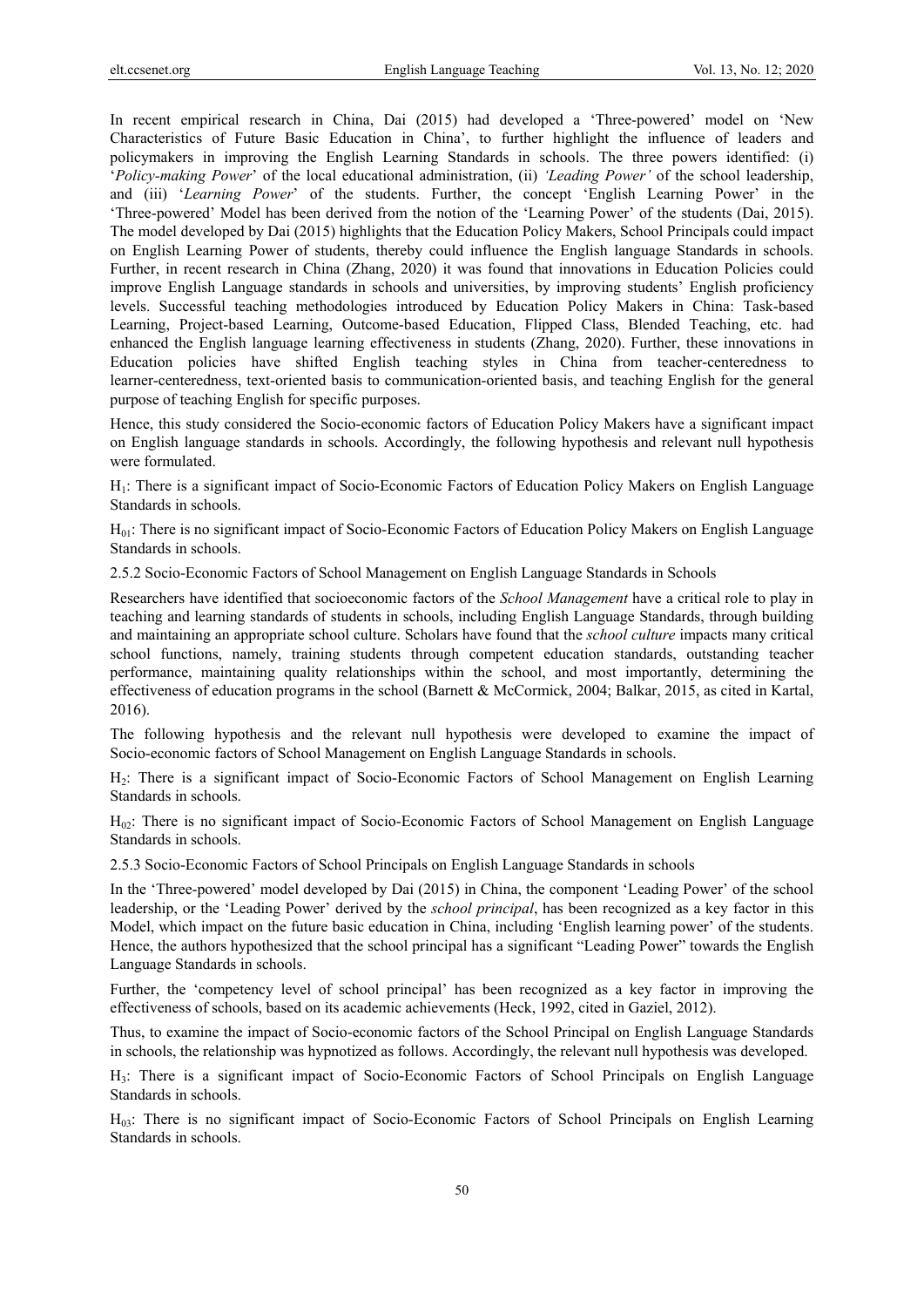In recent empirical research in China, Dai (2015) had developed a 'Three-powered' model on 'New Characteristics of Future Basic Education in China', to further highlight the influence of leaders and policymakers in improving the English Learning Standards in schools. The three powers identified: (i) '*Policy-making Power*' of the local educational administration, (ii) *'Leading Power'* of the school leadership, and (iii) '*Learning Power*' of the students. Further, the concept 'English Learning Power' in the 'Three-powered' Model has been derived from the notion of the 'Learning Power' of the students (Dai, 2015). The model developed by Dai (2015) highlights that the Education Policy Makers, School Principals could impact on English Learning Power of students, thereby could influence the English language Standards in schools. Further, in recent research in China (Zhang, 2020) it was found that innovations in Education Policies could improve English Language standards in schools and universities, by improving students' English proficiency levels. Successful teaching methodologies introduced by Education Policy Makers in China: Task-based Learning, Project-based Learning, Outcome-based Education, Flipped Class, Blended Teaching, etc. had enhanced the English language learning effectiveness in students (Zhang, 2020). Further, these innovations in Education policies have shifted English teaching styles in China from teacher-centeredness to learner-centeredness, text-oriented basis to communication-oriented basis, and teaching English for the general purpose of teaching English for specific purposes.

Hence, this study considered the Socio-economic factors of Education Policy Makers have a significant impact on English language standards in schools. Accordingly, the following hypothesis and relevant null hypothesis were formulated.

H1: There is a significant impact of Socio-Economic Factors of Education Policy Makers on English Language Standards in schools.

H01: There is no significant impact of Socio-Economic Factors of Education Policy Makers on English Language Standards in schools.

2.5.2 Socio-Economic Factors of School Management on English Language Standards in Schools

Researchers have identified that socioeconomic factors of the *School Management* have a critical role to play in teaching and learning standards of students in schools, including English Language Standards, through building and maintaining an appropriate school culture. Scholars have found that the *school culture* impacts many critical school functions, namely, training students through competent education standards, outstanding teacher performance, maintaining quality relationships within the school, and most importantly, determining the effectiveness of education programs in the school (Barnett & McCormick, 2004; Balkar, 2015, as cited in Kartal, 2016).

The following hypothesis and the relevant null hypothesis were developed to examine the impact of Socio-economic factors of School Management on English Language Standards in schools.

H2: There is a significant impact of Socio-Economic Factors of School Management on English Learning Standards in schools.

H02: There is no significant impact of Socio-Economic Factors of School Management on English Language Standards in schools.

2.5.3 Socio-Economic Factors of School Principals on English Language Standards in schools

In the 'Three-powered' model developed by Dai (2015) in China, the component 'Leading Power' of the school leadership, or the 'Leading Power' derived by the *school principal*, has been recognized as a key factor in this Model, which impact on the future basic education in China, including 'English learning power' of the students. Hence, the authors hypothesized that the school principal has a significant "Leading Power" towards the English Language Standards in schools.

Further, the 'competency level of school principal' has been recognized as a key factor in improving the effectiveness of schools, based on its academic achievements (Heck, 1992, cited in Gaziel, 2012).

Thus, to examine the impact of Socio-economic factors of the School Principal on English Language Standards in schools, the relationship was hypnotized as follows. Accordingly, the relevant null hypothesis was developed.

H3: There is a significant impact of Socio-Economic Factors of School Principals on English Language Standards in schools.

H03: There is no significant impact of Socio-Economic Factors of School Principals on English Learning Standards in schools.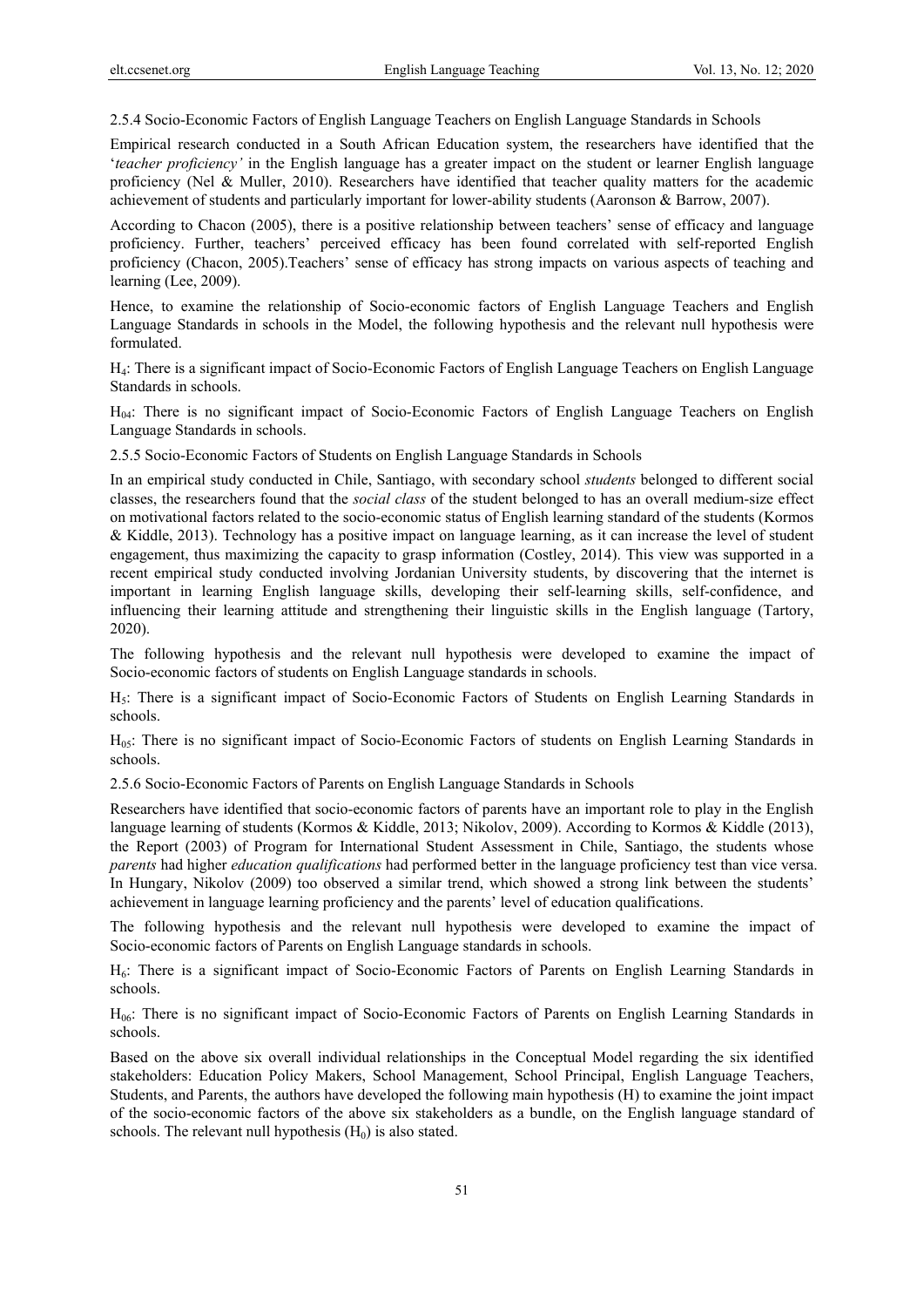2.5.4 Socio-Economic Factors of English Language Teachers on English Language Standards in Schools

Empirical research conducted in a South African Education system, the researchers have identified that the '*teacher proficiency'* in the English language has a greater impact on the student or learner English language proficiency (Nel & Muller, 2010). Researchers have identified that teacher quality matters for the academic achievement of students and particularly important for lower-ability students (Aaronson & Barrow, 2007).

According to Chacon (2005), there is a positive relationship between teachers' sense of efficacy and language proficiency. Further, teachers' perceived efficacy has been found correlated with self-reported English proficiency (Chacon, 2005).Teachers' sense of efficacy has strong impacts on various aspects of teaching and learning (Lee, 2009).

Hence, to examine the relationship of Socio-economic factors of English Language Teachers and English Language Standards in schools in the Model, the following hypothesis and the relevant null hypothesis were formulated.

H4: There is a significant impact of Socio-Economic Factors of English Language Teachers on English Language Standards in schools.

H04: There is no significant impact of Socio-Economic Factors of English Language Teachers on English Language Standards in schools.

2.5.5 Socio-Economic Factors of Students on English Language Standards in Schools

In an empirical study conducted in Chile, Santiago, with secondary school *students* belonged to different social classes, the researchers found that the *social class* of the student belonged to has an overall medium-size effect on motivational factors related to the socio-economic status of English learning standard of the students (Kormos & Kiddle, 2013). Technology has a positive impact on language learning, as it can increase the level of student engagement, thus maximizing the capacity to grasp information (Costley, 2014). This view was supported in a recent empirical study conducted involving Jordanian University students, by discovering that the internet is important in learning English language skills, developing their self-learning skills, self-confidence, and influencing their learning attitude and strengthening their linguistic skills in the English language (Tartory, 2020).

The following hypothesis and the relevant null hypothesis were developed to examine the impact of Socio-economic factors of students on English Language standards in schools.

H5: There is a significant impact of Socio-Economic Factors of Students on English Learning Standards in schools.

H05: There is no significant impact of Socio-Economic Factors of students on English Learning Standards in schools.

2.5.6 Socio-Economic Factors of Parents on English Language Standards in Schools

Researchers have identified that socio-economic factors of parents have an important role to play in the English language learning of students (Kormos & Kiddle, 2013; Nikolov, 2009). According to Kormos & Kiddle (2013), the Report (2003) of Program for International Student Assessment in Chile, Santiago, the students whose *parents* had higher *education qualifications* had performed better in the language proficiency test than vice versa. In Hungary, Nikolov (2009) too observed a similar trend, which showed a strong link between the students' achievement in language learning proficiency and the parents' level of education qualifications.

The following hypothesis and the relevant null hypothesis were developed to examine the impact of Socio-economic factors of Parents on English Language standards in schools.

H6: There is a significant impact of Socio-Economic Factors of Parents on English Learning Standards in schools.

H06: There is no significant impact of Socio-Economic Factors of Parents on English Learning Standards in schools.

Based on the above six overall individual relationships in the Conceptual Model regarding the six identified stakeholders: Education Policy Makers, School Management, School Principal, English Language Teachers, Students, and Parents, the authors have developed the following main hypothesis (H) to examine the joint impact of the socio-economic factors of the above six stakeholders as a bundle, on the English language standard of schools. The relevant null hypothesis  $(H_0)$  is also stated.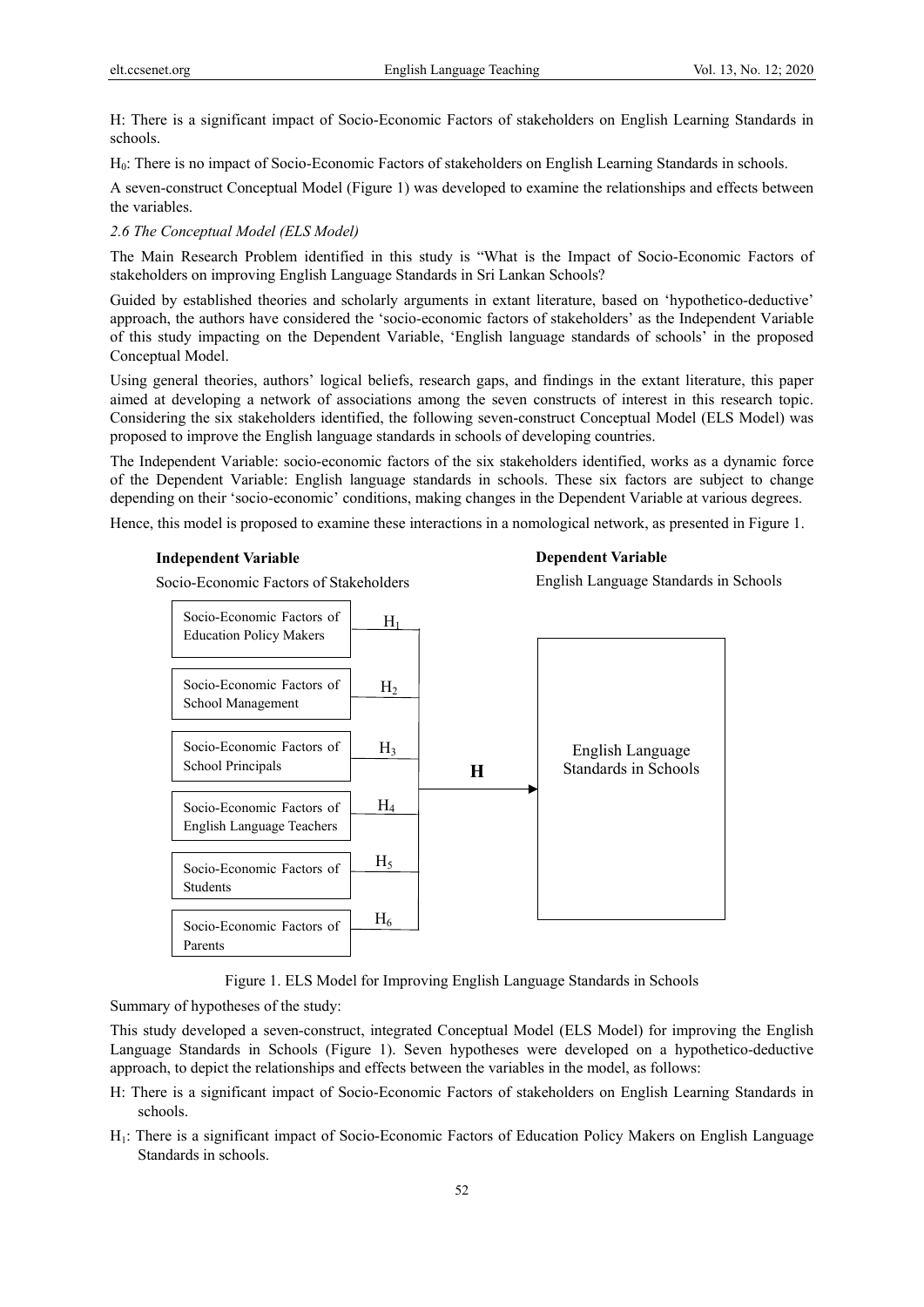H: There is a significant impact of Socio-Economic Factors of stakeholders on English Learning Standards in schools.

H0: There is no impact of Socio-Economic Factors of stakeholders on English Learning Standards in schools.

A seven-construct Conceptual Model (Figure 1) was developed to examine the relationships and effects between the variables.

# *2.6 The Conceptual Model (ELS Model)*

The Main Research Problem identified in this study is "What is the Impact of Socio-Economic Factors of stakeholders on improving English Language Standards in Sri Lankan Schools?

Guided by established theories and scholarly arguments in extant literature, based on 'hypothetico-deductive' approach, the authors have considered the 'socio-economic factors of stakeholders' as the Independent Variable of this study impacting on the Dependent Variable, 'English language standards of schools' in the proposed Conceptual Model.

Using general theories, authors' logical beliefs, research gaps, and findings in the extant literature, this paper aimed at developing a network of associations among the seven constructs of interest in this research topic. Considering the six stakeholders identified, the following seven-construct Conceptual Model (ELS Model) was proposed to improve the English language standards in schools of developing countries.

The Independent Variable: socio-economic factors of the six stakeholders identified, works as a dynamic force of the Dependent Variable: English language standards in schools. These six factors are subject to change depending on their 'socio-economic' conditions, making changes in the Dependent Variable at various degrees.

Hence, this model is proposed to examine these interactions in a nomological network, as presented in Figure 1.

# **Independent Variable**

### **Dependent Variable**

Socio-Economic Factors of Stakeholders

English Language Standards in Schools



Figure 1. ELS Model for Improving English Language Standards in Schools

Summary of hypotheses of the study:

This study developed a seven-construct, integrated Conceptual Model (ELS Model) for improving the English Language Standards in Schools (Figure 1). Seven hypotheses were developed on a hypothetico-deductive approach, to depict the relationships and effects between the variables in the model, as follows:

- H: There is a significant impact of Socio-Economic Factors of stakeholders on English Learning Standards in schools.
- H1: There is a significant impact of Socio-Economic Factors of Education Policy Makers on English Language Standards in schools.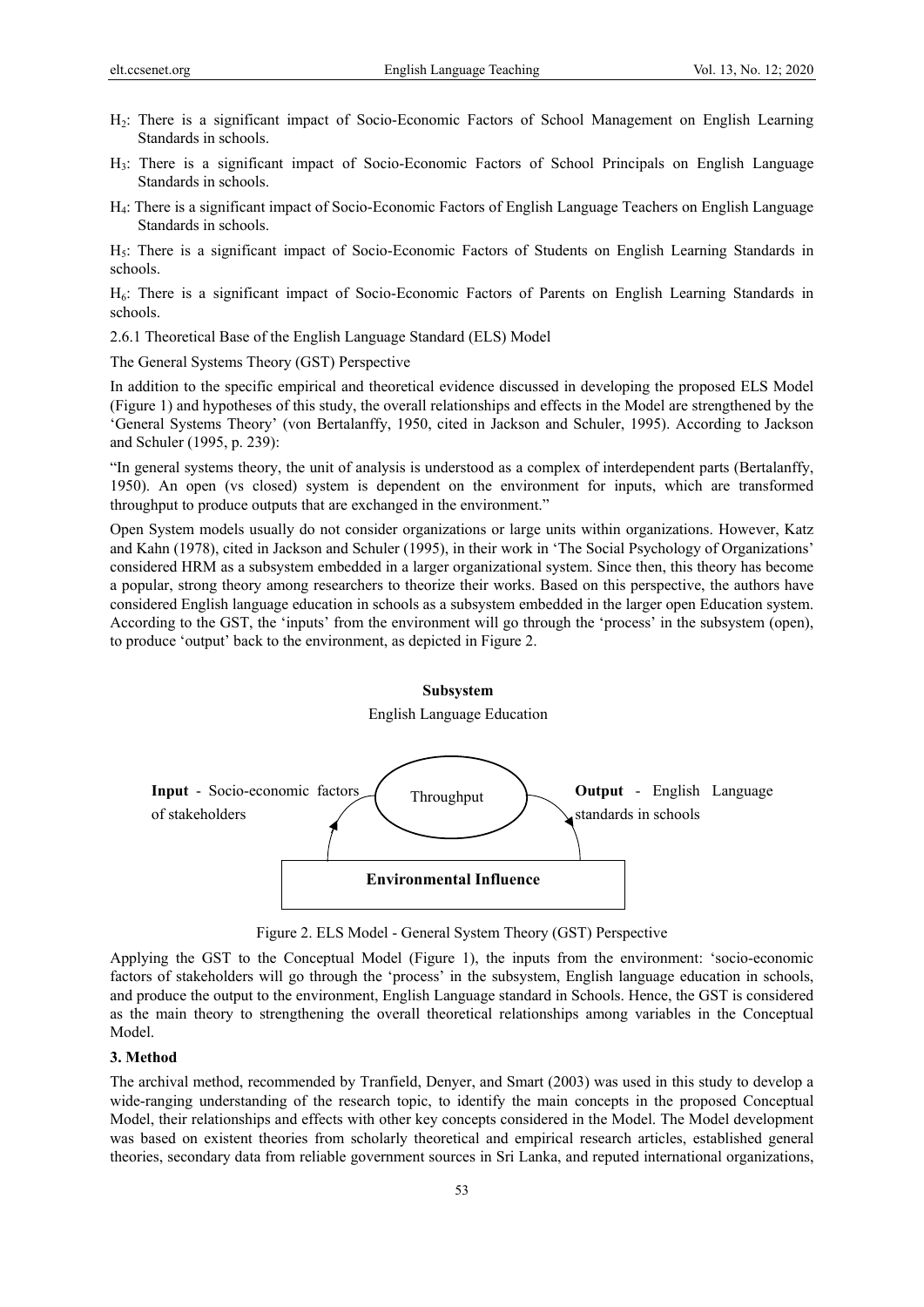- H2: There is a significant impact of Socio-Economic Factors of School Management on English Learning Standards in schools.
- H3: There is a significant impact of Socio-Economic Factors of School Principals on English Language Standards in schools.
- H4: There is a significant impact of Socio-Economic Factors of English Language Teachers on English Language Standards in schools.

H<sub>5</sub>: There is a significant impact of Socio-Economic Factors of Students on English Learning Standards in schools.

H<sub>6</sub>: There is a significant impact of Socio-Economic Factors of Parents on English Learning Standards in schools.

2.6.1 Theoretical Base of the English Language Standard (ELS) Model

The General Systems Theory (GST) Perspective

In addition to the specific empirical and theoretical evidence discussed in developing the proposed ELS Model (Figure 1) and hypotheses of this study, the overall relationships and effects in the Model are strengthened by the 'General Systems Theory' (von Bertalanffy, 1950, cited in Jackson and Schuler, 1995). According to Jackson and Schuler (1995, p. 239):

"In general systems theory, the unit of analysis is understood as a complex of interdependent parts (Bertalanffy, 1950). An open (vs closed) system is dependent on the environment for inputs, which are transformed throughput to produce outputs that are exchanged in the environment."

Open System models usually do not consider organizations or large units within organizations. However, Katz and Kahn (1978), cited in Jackson and Schuler (1995), in their work in 'The Social Psychology of Organizations' considered HRM as a subsystem embedded in a larger organizational system. Since then, this theory has become a popular, strong theory among researchers to theorize their works. Based on this perspective, the authors have considered English language education in schools as a subsystem embedded in the larger open Education system. According to the GST, the 'inputs' from the environment will go through the 'process' in the subsystem (open), to produce 'output' back to the environment, as depicted in Figure 2.



Figure 2. ELS Model - General System Theory (GST) Perspective

Applying the GST to the Conceptual Model (Figure 1), the inputs from the environment: 'socio-economic factors of stakeholders will go through the 'process' in the subsystem, English language education in schools, and produce the output to the environment, English Language standard in Schools. Hence, the GST is considered as the main theory to strengthening the overall theoretical relationships among variables in the Conceptual Model.

#### **3. Method**

The archival method, recommended by Tranfield, Denyer, and Smart (2003) was used in this study to develop a wide-ranging understanding of the research topic, to identify the main concepts in the proposed Conceptual Model, their relationships and effects with other key concepts considered in the Model. The Model development was based on existent theories from scholarly theoretical and empirical research articles, established general theories, secondary data from reliable government sources in Sri Lanka, and reputed international organizations,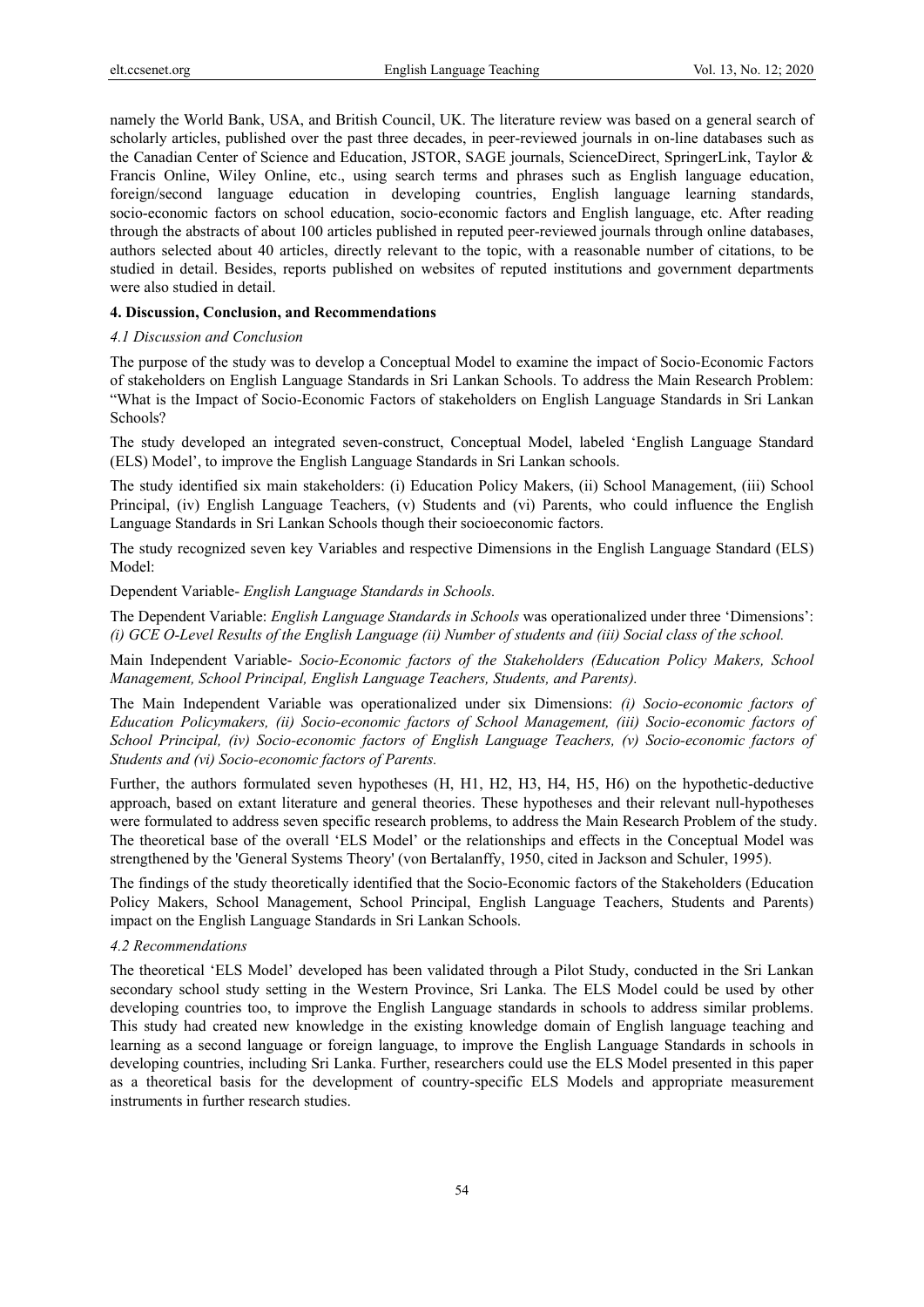namely the World Bank, USA, and British Council, UK. The literature review was based on a general search of scholarly articles, published over the past three decades, in peer-reviewed journals in on-line databases such as the Canadian Center of Science and Education, JSTOR, SAGE journals, ScienceDirect, SpringerLink, Taylor & Francis Online, Wiley Online, etc., using search terms and phrases such as English language education, foreign/second language education in developing countries, English language learning standards, socio-economic factors on school education, socio-economic factors and English language, etc. After reading through the abstracts of about 100 articles published in reputed peer-reviewed journals through online databases, authors selected about 40 articles, directly relevant to the topic, with a reasonable number of citations, to be studied in detail. Besides, reports published on websites of reputed institutions and government departments were also studied in detail.

## **4. Discussion, Conclusion, and Recommendations**

## *4.1 Discussion and Conclusion*

The purpose of the study was to develop a Conceptual Model to examine the impact of Socio-Economic Factors of stakeholders on English Language Standards in Sri Lankan Schools. To address the Main Research Problem: "What is the Impact of Socio-Economic Factors of stakeholders on English Language Standards in Sri Lankan Schools?

The study developed an integrated seven-construct, Conceptual Model, labeled 'English Language Standard (ELS) Model', to improve the English Language Standards in Sri Lankan schools.

The study identified six main stakeholders: (i) Education Policy Makers, (ii) School Management, (iii) School Principal, (iv) English Language Teachers, (v) Students and (vi) Parents, who could influence the English Language Standards in Sri Lankan Schools though their socioeconomic factors.

The study recognized seven key Variables and respective Dimensions in the English Language Standard (ELS) Model:

## Dependent Variable- *English Language Standards in Schools.*

The Dependent Variable: *English Language Standards in Schools* was operationalized under three 'Dimensions': *(i) GCE O-Level Results of the English Language (ii) Number of students and (iii) Social class of the school.*

Main Independent Variable- *Socio-Economic factors of the Stakeholders (Education Policy Makers, School Management, School Principal, English Language Teachers, Students, and Parents).*

The Main Independent Variable was operationalized under six Dimensions: *(i) Socio-economic factors of Education Policymakers, (ii) Socio-economic factors of School Management, (iii) Socio-economic factors of School Principal, (iv) Socio-economic factors of English Language Teachers, (v) Socio-economic factors of Students and (vi) Socio-economic factors of Parents.* 

Further, the authors formulated seven hypotheses (H, H1, H2, H3, H4, H5, H6) on the hypothetic-deductive approach, based on extant literature and general theories. These hypotheses and their relevant null-hypotheses were formulated to address seven specific research problems, to address the Main Research Problem of the study. The theoretical base of the overall 'ELS Model' or the relationships and effects in the Conceptual Model was strengthened by the 'General Systems Theory' (von Bertalanffy, 1950, cited in Jackson and Schuler, 1995).

The findings of the study theoretically identified that the Socio-Economic factors of the Stakeholders (Education Policy Makers, School Management, School Principal, English Language Teachers, Students and Parents) impact on the English Language Standards in Sri Lankan Schools.

# *4.2 Recommendations*

The theoretical 'ELS Model' developed has been validated through a Pilot Study, conducted in the Sri Lankan secondary school study setting in the Western Province, Sri Lanka. The ELS Model could be used by other developing countries too, to improve the English Language standards in schools to address similar problems. This study had created new knowledge in the existing knowledge domain of English language teaching and learning as a second language or foreign language, to improve the English Language Standards in schools in developing countries, including Sri Lanka. Further, researchers could use the ELS Model presented in this paper as a theoretical basis for the development of country-specific ELS Models and appropriate measurement instruments in further research studies.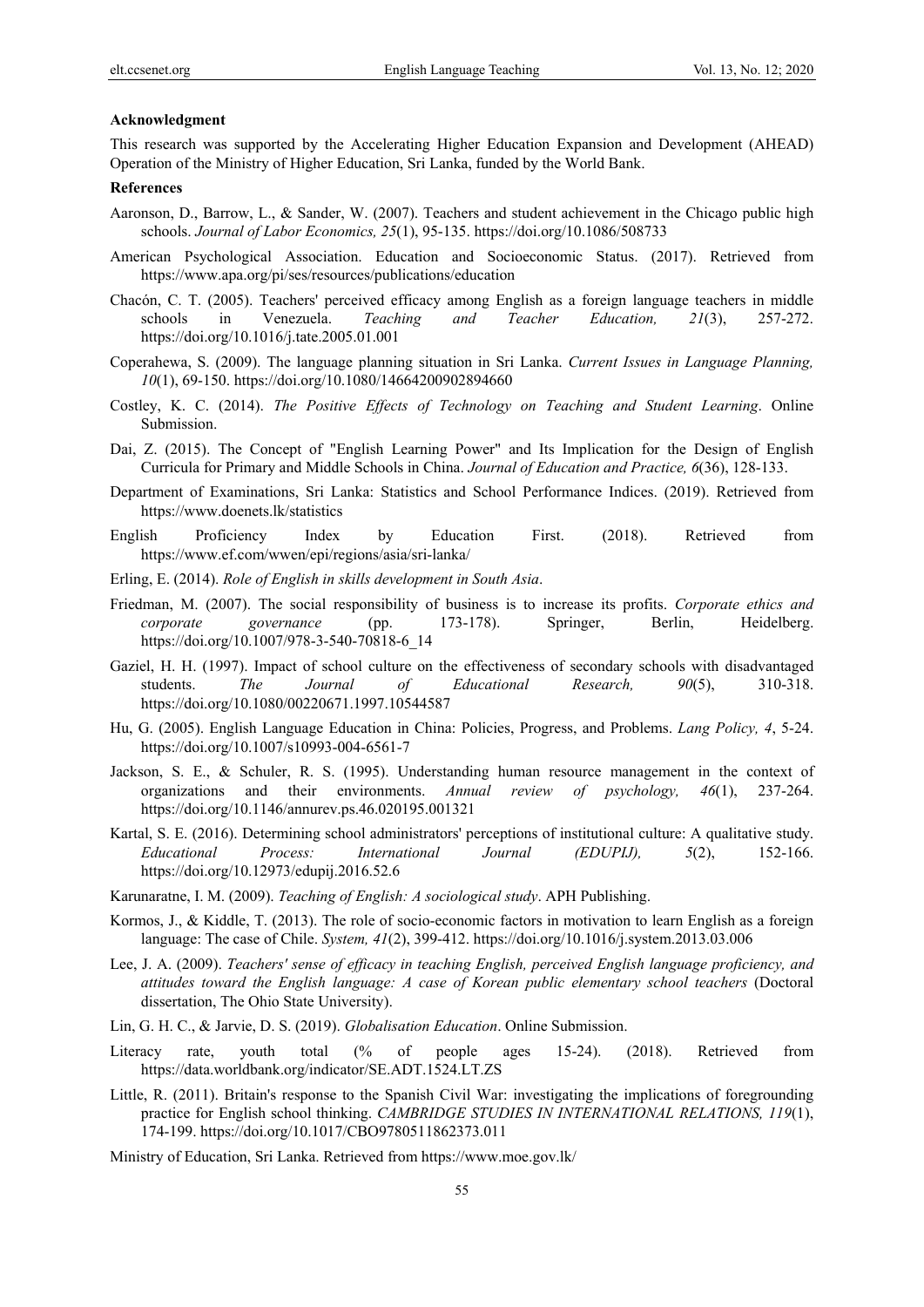#### **Acknowledgment**

This research was supported by the Accelerating Higher Education Expansion and Development (AHEAD) Operation of the Ministry of Higher Education, Sri Lanka, funded by the World Bank.

## **References**

- Aaronson, D., Barrow, L., & Sander, W. (2007). Teachers and student achievement in the Chicago public high schools. *Journal of Labor Economics, 25*(1), 95-135. https://doi.org/10.1086/508733
- American Psychological Association. Education and Socioeconomic Status. (2017). Retrieved from https://www.apa.org/pi/ses/resources/publications/education
- Chacón, C. T. (2005). Teachers' perceived efficacy among English as a foreign language teachers in middle schools in Venezuela. *Teaching and Teacher Education, 21*(3), 257-272. https://doi.org/10.1016/j.tate.2005.01.001
- Coperahewa, S. (2009). The language planning situation in Sri Lanka. *Current Issues in Language Planning, 10*(1), 69-150. https://doi.org/10.1080/14664200902894660
- Costley, K. C. (2014). *The Positive Effects of Technology on Teaching and Student Learning*. Online Submission.
- Dai, Z. (2015). The Concept of "English Learning Power" and Its Implication for the Design of English Curricula for Primary and Middle Schools in China. *Journal of Education and Practice, 6*(36), 128-133.
- Department of Examinations, Sri Lanka: Statistics and School Performance Indices. (2019). Retrieved from https://www.doenets.lk/statistics
- English Proficiency Index by Education First. (2018). Retrieved from https://www.ef.com/wwen/epi/regions/asia/sri-lanka/
- Erling, E. (2014). *Role of English in skills development in South Asia*.
- Friedman, M. (2007). The social responsibility of business is to increase its profits. *Corporate ethics and corporate governance* (pp. 173-178). Springer, Berlin, Heidelberg. https://doi.org/10.1007/978-3-540-70818-6\_14
- Gaziel, H. H. (1997). Impact of school culture on the effectiveness of secondary schools with disadvantaged students. *The Journal of Educational Research, 90*(5), 310-318. https://doi.org/10.1080/00220671.1997.10544587
- Hu, G. (2005). English Language Education in China: Policies, Progress, and Problems. *Lang Policy, 4*, 5-24. https://doi.org/10.1007/s10993-004-6561-7
- Jackson, S. E., & Schuler, R. S. (1995). Understanding human resource management in the context of organizations and their environments. *Annual review of psychology, 46*(1), 237-264. https://doi.org/10.1146/annurev.ps.46.020195.001321
- Kartal, S. E. (2016). Determining school administrators' perceptions of institutional culture: A qualitative study. *Educational Process: International Journal (EDUPIJ), 5*(2), 152-166. https://doi.org/10.12973/edupij.2016.52.6
- Karunaratne, I. M. (2009). *Teaching of English: A sociological study*. APH Publishing.
- Kormos, J., & Kiddle, T. (2013). The role of socio-economic factors in motivation to learn English as a foreign language: The case of Chile. *System, 41*(2), 399-412. https://doi.org/10.1016/j.system.2013.03.006
- Lee, J. A. (2009). *Teachers' sense of efficacy in teaching English, perceived English language proficiency, and attitudes toward the English language: A case of Korean public elementary school teachers* (Doctoral dissertation, The Ohio State University).
- Lin, G. H. C., & Jarvie, D. S. (2019). *Globalisation Education*. Online Submission.
- Literacy rate, youth total (% of people ages 15-24). (2018). Retrieved from https://data.worldbank.org/indicator/SE.ADT.1524.LT.ZS
- Little, R. (2011). Britain's response to the Spanish Civil War: investigating the implications of foregrounding practice for English school thinking. *CAMBRIDGE STUDIES IN INTERNATIONAL RELATIONS, 119*(1), 174-199. https://doi.org/10.1017/CBO9780511862373.011
- Ministry of Education, Sri Lanka. Retrieved from https://www.moe.gov.lk/